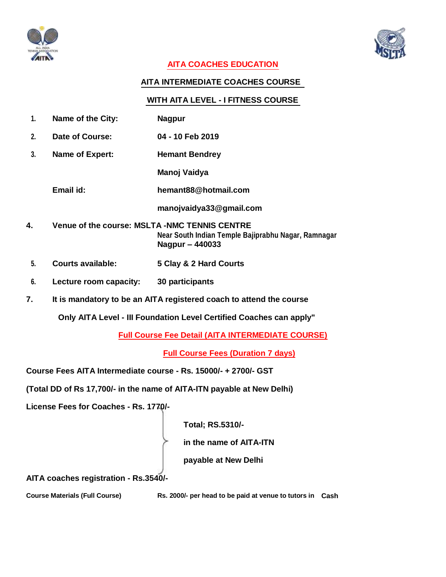



## **AITA COACHES EDUCATION**

### **AITA INTERMEDIATE COACHES COURSE**

#### **WITH AITA LEVEL - I FITNESS COURSE**

- **1. Name of the City: Nagpur**
- **2. Date of Course: 04 - 10 Feb 2019**
- **3. Name of Expert: Hemant Bendrey**
	- **Manoj Vaidya**
	- **Email id: hemant88@hotmail.com**

**manojvaidya33@gmail.com**

- **4. Venue of the course: MSLTA -NMC TENNIS CENTRE Near South Indian Temple Bajiprabhu Nagar, Ramnagar Nagpur – 440033**
- **5. Courts available: 5 Clay & 2 Hard Courts**
- **6. Lecture room capacity: 30 participants**
- **7. It is mandatory to be an AITA registered coach to attend the course**

**Only AITA Level - III Foundation Level Certified Coaches can apply"**

**Full Course Fee Detail (AITA INTERMEDIATE COURSE)**

**Full Course Fees (Duration 7 days)**

**Course Fees AITA Intermediate course - Rs. 15000/- + 2700/- GST**

**(Total DD of Rs 17,700/- in the name of AITA-ITN payable at New Delhi)**

**License Fees for Coaches - Rs. 1770/-**

**Total; RS.5310/-**

**in the name of AITA-ITN**

**payable at New Delhi**

**AITA coaches registration - Rs.3540/-**

**Course Materials (Full Course) Rs. 2000/- per head to be paid at venue to tutors in Cash**